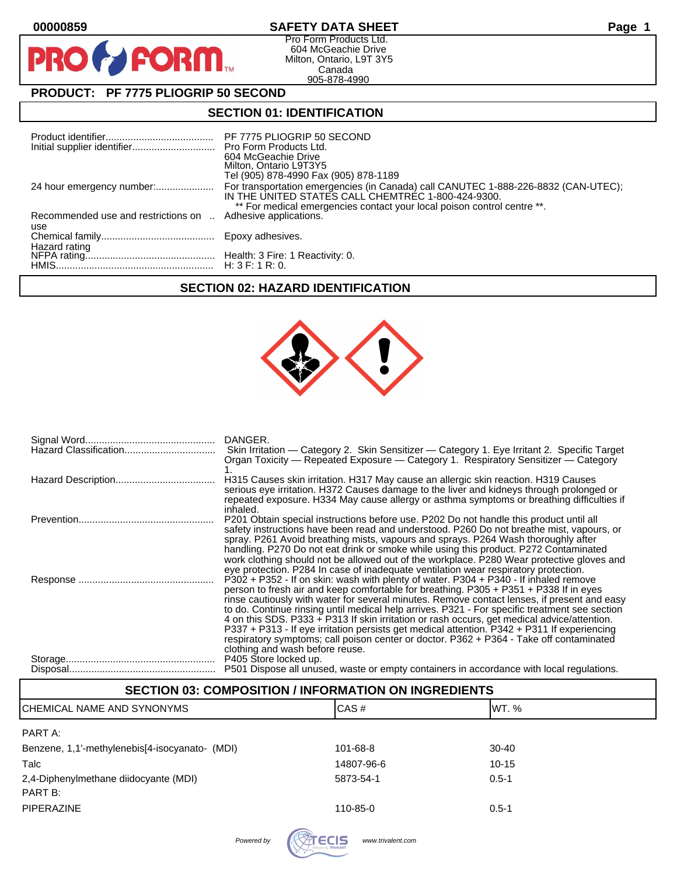$\mathbf O$ 

PR

### **00000859 SAFETY DATA SHEET Page 1**

Pro Form Products Ltd. 604 McGeachie Drive Milton, Ontario, L9T 3Y5 Canada 905-878-4990

# **PRODUCT: PF 7775 PLIOGRIP 50 SECOND**

**FORM** 

#### **SECTION 01: IDENTIFICATION**

|                                            | PF 7775 PLIOGRIP 50 SECOND<br>604 McGeachie Drive<br>Milton, Ontario L9T3Y5<br>Tel (905) 878-4990 Fax (905) 878-1189                                                                                                |
|--------------------------------------------|---------------------------------------------------------------------------------------------------------------------------------------------------------------------------------------------------------------------|
|                                            | For transportation emergencies (in Canada) call CANUTEC 1-888-226-8832 (CAN-UTEC);<br>IN THE UNITED STATES CALL CHEMTREC 1-800-424-9300.<br>** For medical emergencies contact your local poison control centre **. |
| Recommended use and restrictions on<br>use | Adhesive applications.                                                                                                                                                                                              |
|                                            |                                                                                                                                                                                                                     |
|                                            |                                                                                                                                                                                                                     |

# **SECTION 02: HAZARD IDENTIFICATION**



| DANGER.<br>Skin Irritation — Category 2. Skin Sensitizer — Category 1. Eye Irritant 2. Specific Target<br>Organ Toxicity — Repeated Exposure — Category 1. Respiratory Sensitizer — Category                                                                                                                                                                                                                                                                                                                                                                                                                                                                                                              |
|-----------------------------------------------------------------------------------------------------------------------------------------------------------------------------------------------------------------------------------------------------------------------------------------------------------------------------------------------------------------------------------------------------------------------------------------------------------------------------------------------------------------------------------------------------------------------------------------------------------------------------------------------------------------------------------------------------------|
| H315 Causes skin irritation. H317 May cause an allergic skin reaction. H319 Causes<br>serious eye irritation. H372 Causes damage to the liver and kidneys through prolonged or<br>repeated exposure. H334 May cause allergy or asthma symptoms or breathing difficulties if<br>inhaled.                                                                                                                                                                                                                                                                                                                                                                                                                   |
| P201 Obtain special instructions before use. P202 Do not handle this product until all<br>safety instructions have been read and understood. P260 Do not breathe mist, vapours, or<br>spray. P261 Avoid breathing mists, vapours and sprays. P264 Wash thoroughly after<br>handling. P270 Do not eat drink or smoke while using this product. P272 Contaminated<br>work clothing should not be allowed out of the workplace. P280 Wear protective gloves and<br>eye protection. P284 In case of inadequate ventilation wear respiratory protection.                                                                                                                                                       |
| P302 + P352 - If on skin: wash with plenty of water. P304 + P340 - If inhaled remove<br>person to fresh air and keep comfortable for breathing. P305 + P351 + P338 If in eyes<br>rinse cautiously with water for several minutes. Remove contact lenses, if present and easy<br>to do. Continue rinsing until medical help arrives. P321 - For specific treatment see section<br>4 on this SDS. P333 + P313 If skin irritation or rash occurs, get medical advice/attention.<br>P337 + P313 - If eye irritation persists get medical attention. P342 + P311 If experiencing<br>respiratory symptoms; call poison center or doctor. P362 + P364 - Take off contaminated<br>clothing and wash before reuse. |
| P405 Store locked up.<br>P501 Dispose all unused, waste or empty containers in accordance with local regulations.                                                                                                                                                                                                                                                                                                                                                                                                                                                                                                                                                                                         |

## **SECTION 03: COMPOSITION / INFORMATION ON INGREDIENTS**

| ICHEMICAL NAME AND SYNONYMS                    | CAS#       | IWT. %    |  |
|------------------------------------------------|------------|-----------|--|
| PART A:                                        |            |           |  |
| Benzene, 1,1'-methylenebis[4-isocyanato- (MDI) | 101-68-8   | $30 - 40$ |  |
| Talc                                           | 14807-96-6 | $10 - 15$ |  |
| 2,4-Diphenylmethane diidocyante (MDI)          | 5873-54-1  | $0.5 - 1$ |  |
| PART B:                                        |            |           |  |
| <b>PIPERAZINE</b>                              | 110-85-0   | $0.5 - 1$ |  |
|                                                |            |           |  |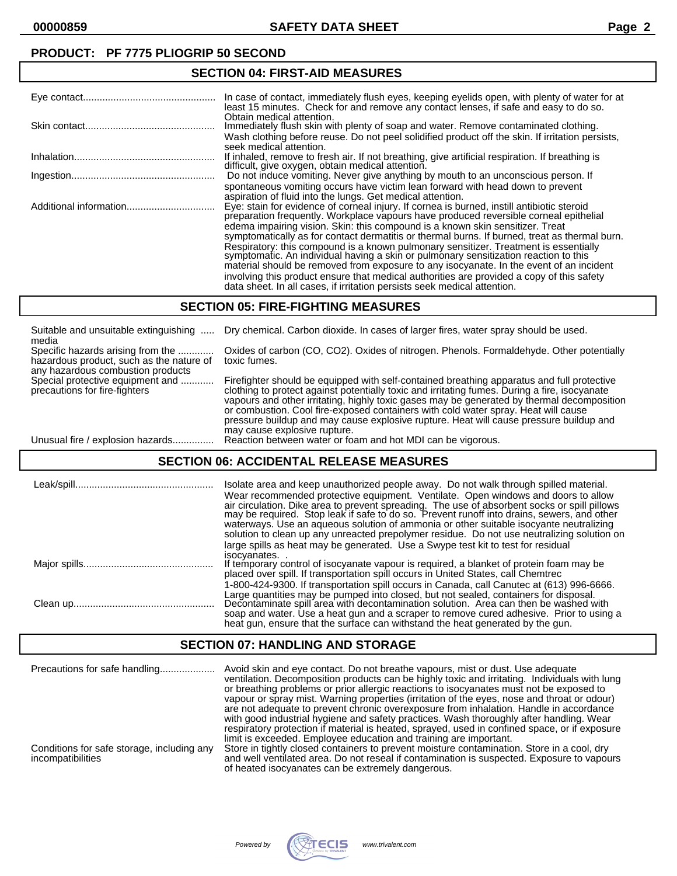### **PRODUCT: PF 7775 PLIOGRIP 50 SECOND**

#### Eye contact................................................ In case of contact, immediately flush eyes, keeping eyelids open, with plenty of water for at least 15 minutes. Check for and remove any contact lenses, if safe and easy to do so. Obtain medical attention. Skin contact............................................... Immediately flush skin with plenty of soap and water. Remove contaminated clothing. Wash clothing before reuse. Do not peel solidified product off the skin. If irritation persists, seek medical attention. Inhalation................................................... If inhaled, remove to fresh air. If not breathing, give artificial respiration. If breathing is difficult, give oxygen, obtain medical attention. Ingestion.................................................... Do not induce vomiting. Never give anything by mouth to an unconscious person. If spontaneous vomiting occurs have victim lean forward with head down to prevent aspiration of fluid into the lungs. Get medical attention. Additional information................................ Eye: stain for evidence of corneal injury. If cornea is burned, instill antibiotic steroid preparation frequently. Workplace vapours have produced reversible corneal epithelial edema impairing vision. Skin: this compound is a known skin sensitizer. Treat symptomatically as for contact dermatitis or thermal burns. If burned, treat as thermal burn. Respiratory: this compound is a known pulmonary sensitizer. Treatment is essentially symptomatic. An individual having a skin or pulmonary sensitization reaction to this material should be removed from exposure to any isocyanate. In the event of an incident involving this product ensure that medical authorities are provided a copy of this safety data sheet. In all cases, if irritation persists seek medical attention.

#### **SECTION 05: FIRE-FIGHTING MEASURES**

**SECTION 04: FIRST-AID MEASURES**

| Suitable and unsuitable extinguishing<br>media                                                                     | Dry chemical. Carbon dioxide. In cases of larger fires, water spray should be used.                                                                                                                                                                                                                                                                                                                                                                                                                       |
|--------------------------------------------------------------------------------------------------------------------|-----------------------------------------------------------------------------------------------------------------------------------------------------------------------------------------------------------------------------------------------------------------------------------------------------------------------------------------------------------------------------------------------------------------------------------------------------------------------------------------------------------|
| Specific hazards arising from the<br>hazardous product, such as the nature of<br>any hazardous combustion products | Oxides of carbon (CO, CO2). Oxides of nitrogen. Phenols. Formaldehyde. Other potentially<br>toxic fumes.                                                                                                                                                                                                                                                                                                                                                                                                  |
| Special protective equipment and<br>precautions for fire-fighters                                                  | Firefighter should be equipped with self-contained breathing apparatus and full protective<br>clothing to protect against potentially toxic and irritating fumes. During a fire, isocyanate<br>vapours and other irritating, highly toxic gases may be generated by thermal decomposition<br>or combustion. Cool fire-exposed containers with cold water spray. Heat will cause<br>pressure buildup and may cause explosive rupture. Heat will cause pressure buildup and<br>may cause explosive rupture. |
| Unusual fire / explosion hazards                                                                                   | Reaction between water or foam and hot MDI can be vigorous.                                                                                                                                                                                                                                                                                                                                                                                                                                               |

#### **SECTION 06: ACCIDENTAL RELEASE MEASURES**

| Isolate area and keep unauthorized people away. Do not walk through spilled material.<br>Wear recommended protective equipment. Ventilate. Open windows and doors to allow<br>air circulation. Dike area to prevent spreading. The use of absorbent socks or spill pillows<br>may be required. Stop leak if safe to do so. Prevent runoff into drains, sewers, and other<br>waterways. Use an agueous solution of ammonia or other suitable isocyante neutralizing<br>solution to clean up any unreacted prepolymer residue. Do not use neutralizing solution on<br>large spills as heat may be generated. Use a Swype test kit to test for residual |
|------------------------------------------------------------------------------------------------------------------------------------------------------------------------------------------------------------------------------------------------------------------------------------------------------------------------------------------------------------------------------------------------------------------------------------------------------------------------------------------------------------------------------------------------------------------------------------------------------------------------------------------------------|
| isocyanates<br>If temporary control of isocyanate vapour is required, a blanket of protein foam may be<br>placed over spill. If transportation spill occurs in United States, call Chemtrec                                                                                                                                                                                                                                                                                                                                                                                                                                                          |
| 1-800-424-9300. If transportation spill occurs in Canada, call Canutec at (613) 996-6666.<br>Large quantities may be pumped into closed, but not sealed, containers for disposal.<br>Decontaminate spill area with decontamination solution. Area can then be washed with<br>soap and water. Use a heat gun and a scraper to remove cured adhesive. Prior to using a<br>heat gun, ensure that the surface can withstand the heat generated by the gun.                                                                                                                                                                                               |

#### **SECTION 07: HANDLING AND STORAGE**

| Precautions for safe handling                                   | Avoid skin and eye contact. Do not breathe vapours, mist or dust. Use adequate<br>ventilation. Decomposition products can be highly toxic and irritating. Individuals with lung<br>or breathing problems or prior allergic reactions to isocyanates must not be exposed to<br>vapour or spray mist. Warning properties (irritation of the eyes, nose and throat or odour)<br>are not adequate to prevent chronic overexposure from inhalation. Handle in accordance<br>with good industrial hygiene and safety practices. Wash thoroughly after handling. Wear<br>respiratory protection if material is heated, sprayed, used in confined space, or if exposure<br>limit is exceeded. Employee education and training are important. |
|-----------------------------------------------------------------|--------------------------------------------------------------------------------------------------------------------------------------------------------------------------------------------------------------------------------------------------------------------------------------------------------------------------------------------------------------------------------------------------------------------------------------------------------------------------------------------------------------------------------------------------------------------------------------------------------------------------------------------------------------------------------------------------------------------------------------|
| Conditions for safe storage, including any<br>incompatibilities | Store in tightly closed containers to prevent moisture contamination. Store in a cool, dry<br>and well ventilated area. Do not reseal if contamination is suspected. Exposure to vapours<br>of heated isocyanates can be extremely dangerous.                                                                                                                                                                                                                                                                                                                                                                                                                                                                                        |

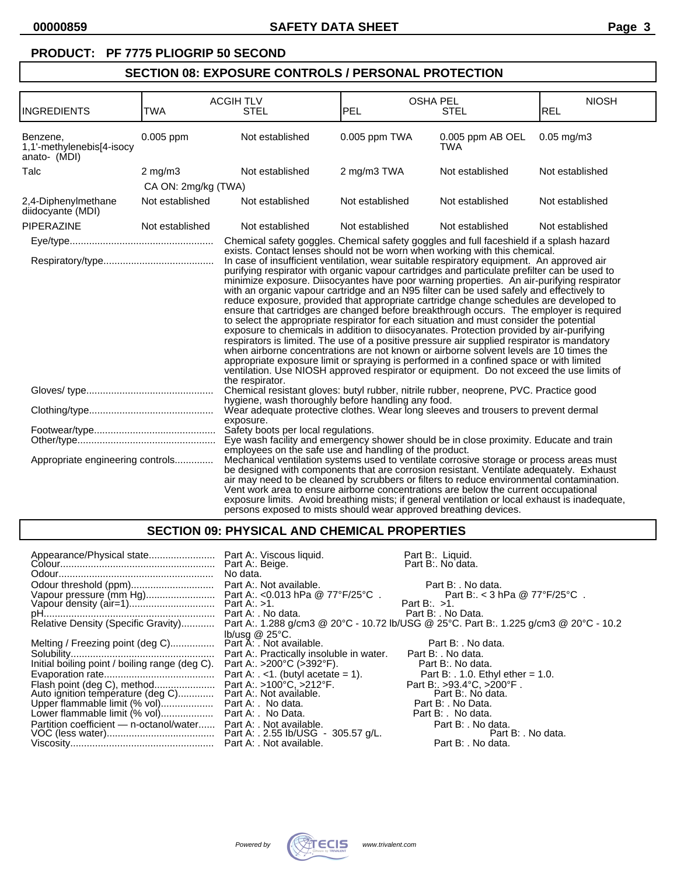### **PRODUCT: PF 7775 PLIOGRIP 50 SECOND**

# **SECTION 08: EXPOSURE CONTROLS / PERSONAL PROTECTION**

|                                                                                                                                                                                                                                                                                                                                                                                                                                                                                                               |                     | <b>ACGIH TLV</b>                                                                                                                                                                                                                                                                                                                                                                                                                                                                                                                                                                                                                                                                                                                                                                                                                                                                                                                                                                                                                                  | <b>OSHA PEL</b> |                                                                            | <b>NIOSH</b>    |
|---------------------------------------------------------------------------------------------------------------------------------------------------------------------------------------------------------------------------------------------------------------------------------------------------------------------------------------------------------------------------------------------------------------------------------------------------------------------------------------------------------------|---------------------|---------------------------------------------------------------------------------------------------------------------------------------------------------------------------------------------------------------------------------------------------------------------------------------------------------------------------------------------------------------------------------------------------------------------------------------------------------------------------------------------------------------------------------------------------------------------------------------------------------------------------------------------------------------------------------------------------------------------------------------------------------------------------------------------------------------------------------------------------------------------------------------------------------------------------------------------------------------------------------------------------------------------------------------------------|-----------------|----------------------------------------------------------------------------|-----------------|
| <b>INGREDIENTS</b>                                                                                                                                                                                                                                                                                                                                                                                                                                                                                            | <b>TWA</b>          | <b>STEL</b>                                                                                                                                                                                                                                                                                                                                                                                                                                                                                                                                                                                                                                                                                                                                                                                                                                                                                                                                                                                                                                       | PEL             | <b>STEL</b>                                                                | <b>REL</b>      |
| Benzene,<br>1,1'-methylenebis[4-isocy<br>anato- (MDI)                                                                                                                                                                                                                                                                                                                                                                                                                                                         | $0.005$ ppm         | Not established                                                                                                                                                                                                                                                                                                                                                                                                                                                                                                                                                                                                                                                                                                                                                                                                                                                                                                                                                                                                                                   | 0.005 ppm TWA   | 0.005 ppm AB OEL<br><b>TWA</b>                                             | $0.05$ mg/m $3$ |
| Talc                                                                                                                                                                                                                                                                                                                                                                                                                                                                                                          | $2$ mg/m $3$        | Not established                                                                                                                                                                                                                                                                                                                                                                                                                                                                                                                                                                                                                                                                                                                                                                                                                                                                                                                                                                                                                                   | 2 mg/m3 TWA     | Not established                                                            | Not established |
|                                                                                                                                                                                                                                                                                                                                                                                                                                                                                                               | CA ON: 2mg/kg (TWA) |                                                                                                                                                                                                                                                                                                                                                                                                                                                                                                                                                                                                                                                                                                                                                                                                                                                                                                                                                                                                                                                   |                 |                                                                            |                 |
| 2,4-Diphenylmethane<br>diidocyante (MDI)                                                                                                                                                                                                                                                                                                                                                                                                                                                                      | Not established     | Not established                                                                                                                                                                                                                                                                                                                                                                                                                                                                                                                                                                                                                                                                                                                                                                                                                                                                                                                                                                                                                                   | Not established | Not established                                                            | Not established |
| PIPERAZINE                                                                                                                                                                                                                                                                                                                                                                                                                                                                                                    | Not established     | Not established                                                                                                                                                                                                                                                                                                                                                                                                                                                                                                                                                                                                                                                                                                                                                                                                                                                                                                                                                                                                                                   | Not established | Not established                                                            | Not established |
|                                                                                                                                                                                                                                                                                                                                                                                                                                                                                                               |                     | Chemical safety goggles. Chemical safety goggles and full faceshield if a splash hazard                                                                                                                                                                                                                                                                                                                                                                                                                                                                                                                                                                                                                                                                                                                                                                                                                                                                                                                                                           |                 | exists. Contact lenses should not be worn when working with this chemical. |                 |
| the respirator.                                                                                                                                                                                                                                                                                                                                                                                                                                                                                               |                     | purifying respirator with organic vapour cartridges and particulate prefilter can be used to<br>minimize exposure. Diisocyantes have poor warning properties. An air-purifying respirator<br>with an organic vapour cartridge and an N95 filter can be used safely and effectively to<br>reduce exposure, provided that appropriate cartridge change schedules are developed to<br>ensure that cartridges are changed before breakthrough occurs. The employer is required<br>to select the appropriate respirator for each situation and must consider the potential<br>exposure to chemicals in addition to diisocyanates. Protection provided by air-purifying<br>respirators is limited. The use of a positive pressure air supplied respirator is mandatory<br>when airborne concentrations are not known or airborne solvent levels are 10 times the<br>appropriate exposure limit or spraying is performed in a confined space or with limited<br>ventilation. Use NIOSH approved respirator or equipment. Do not exceed the use limits of |                 |                                                                            |                 |
|                                                                                                                                                                                                                                                                                                                                                                                                                                                                                                               |                     | Chemical resistant gloves: butyl rubber, nitrile rubber, neoprene, PVC. Practice good<br>hygiene, wash thoroughly before handling any food.                                                                                                                                                                                                                                                                                                                                                                                                                                                                                                                                                                                                                                                                                                                                                                                                                                                                                                       |                 |                                                                            |                 |
|                                                                                                                                                                                                                                                                                                                                                                                                                                                                                                               |                     | Wear adequate protective clothes. Wear long sleeves and trousers to prevent dermal<br>exposure.                                                                                                                                                                                                                                                                                                                                                                                                                                                                                                                                                                                                                                                                                                                                                                                                                                                                                                                                                   |                 |                                                                            |                 |
| Safety boots per local regulations.                                                                                                                                                                                                                                                                                                                                                                                                                                                                           |                     | Eye wash facility and emergency shower should be in close proximity. Educate and train<br>employees on the safe use and handling of the product.                                                                                                                                                                                                                                                                                                                                                                                                                                                                                                                                                                                                                                                                                                                                                                                                                                                                                                  |                 |                                                                            |                 |
| Appropriate engineering controls<br>Mechanical ventilation systems used to ventilate corrosive storage or process areas must<br>be designed with components that are corrosion resistant. Ventilate adequately. Exhaust<br>air may need to be cleaned by scrubbers or filters to reduce environmental contamination.<br>Vent work area to ensure airborne concentrations are below the current occupational<br>exposure limits. Avoid breathing mists; if general ventilation or local exhaust is inadequate, |                     | persons exposed to mists should wear approved breathing devices.                                                                                                                                                                                                                                                                                                                                                                                                                                                                                                                                                                                                                                                                                                                                                                                                                                                                                                                                                                                  |                 |                                                                            |                 |

### **SECTION 09: PHYSICAL AND CHEMICAL PROPERTIES**

|                                                                  | No data.                              | Part B:. Liquid.<br>Part B:. No data.                                                                                     |
|------------------------------------------------------------------|---------------------------------------|---------------------------------------------------------------------------------------------------------------------------|
| Odour threshold (ppm) Part A:. Not available.                    |                                       | Part B: . No data.                                                                                                        |
|                                                                  |                                       | Part B:. < 3 hPa @ 77°F/25°C.<br>Part B:. $>1$ .                                                                          |
|                                                                  | Part A: . No data.                    | Part B: . No Data.                                                                                                        |
|                                                                  |                                       | Relative Density (Specific Gravity) Part A:. 1.288 g/cm3 @ 20°C - 10.72 lb/USG @ 25°C. Part B:. 1.225 g/cm3 @ 20°C - 10.2 |
|                                                                  | $lb/usq \& 25^{\circ}C$ .             |                                                                                                                           |
| Melting / Freezing point (deg C)                                 | Part A: . Not available.              | Part B: . No data.                                                                                                        |
|                                                                  |                                       | Part B: . No data.                                                                                                        |
| Initial boiling point / boiling range (deg C).                   | Part A:. >200°C (>392°F).             | Part B:. No data.                                                                                                         |
|                                                                  | Part A: $\le$ 1. (butyl acetate = 1). | Part B: $. 1.0$ . Ethyl ether = 1.0.                                                                                      |
|                                                                  | Part A: . >100°C, >212°F.             | Part B: $>93.4^{\circ}$ C. $>200^{\circ}$ F.                                                                              |
| Auto ignition température (deg C) Part A:. Not available.        |                                       | Part B:. No data.                                                                                                         |
|                                                                  |                                       | Part B: . No Data.                                                                                                        |
|                                                                  |                                       | Part B: . No data.                                                                                                        |
| Partition coefficient — n-octanol/water Part A: . Not available. |                                       | Part B: . No data.                                                                                                        |
|                                                                  |                                       | Part B: . No data.                                                                                                        |
|                                                                  |                                       | Part B: . No data.                                                                                                        |

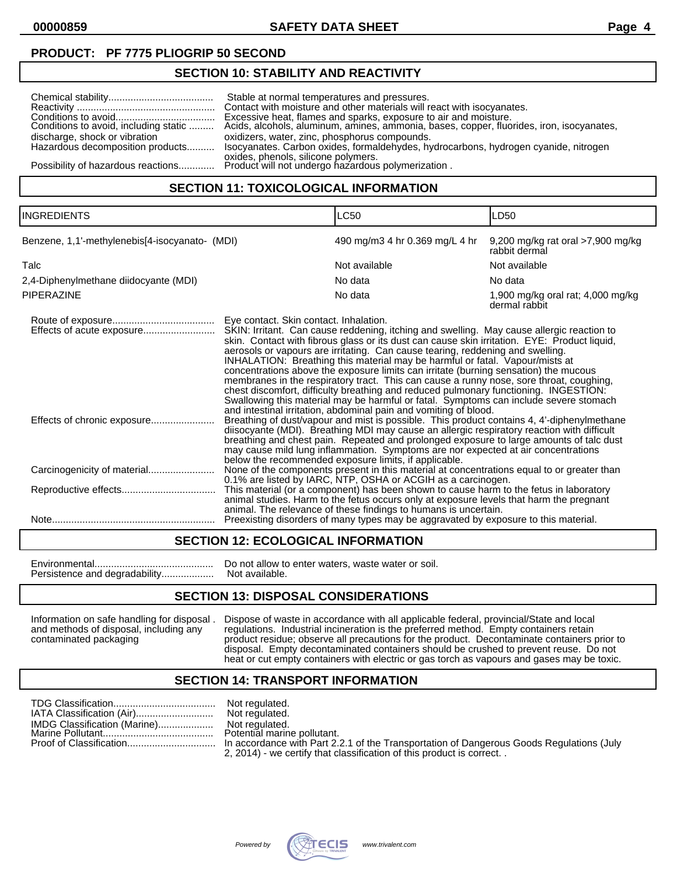**00000859 SAFETY DATA SHEET Page 4**

## **PRODUCT: PF 7775 PLIOGRIP 50 SECOND**

### **SECTION 10: STABILITY AND REACTIVITY**

### **SECTION 11: TOXICOLOGICAL INFORMATION**

| <b>INGREDIENTS</b>                             |                                        | LC50                                                                                                                                                                                                                                                                                                                                                                                                                                                                                                                                                                                                                                                                                                                                                                                                                                                                                                                                                                                                                                                                                                                                                                                                                                     | LD50                                               |
|------------------------------------------------|----------------------------------------|------------------------------------------------------------------------------------------------------------------------------------------------------------------------------------------------------------------------------------------------------------------------------------------------------------------------------------------------------------------------------------------------------------------------------------------------------------------------------------------------------------------------------------------------------------------------------------------------------------------------------------------------------------------------------------------------------------------------------------------------------------------------------------------------------------------------------------------------------------------------------------------------------------------------------------------------------------------------------------------------------------------------------------------------------------------------------------------------------------------------------------------------------------------------------------------------------------------------------------------|----------------------------------------------------|
| Benzene, 1,1'-methylenebis[4-isocyanato- (MDI) |                                        | 490 mg/m3 4 hr 0.369 mg/L 4 hr                                                                                                                                                                                                                                                                                                                                                                                                                                                                                                                                                                                                                                                                                                                                                                                                                                                                                                                                                                                                                                                                                                                                                                                                           | 9,200 mg/kg rat oral >7,900 mg/kg<br>rabbit dermal |
| Talc                                           |                                        | Not available                                                                                                                                                                                                                                                                                                                                                                                                                                                                                                                                                                                                                                                                                                                                                                                                                                                                                                                                                                                                                                                                                                                                                                                                                            | Not available                                      |
| 2,4-Diphenylmethane diidocyante (MDI)          |                                        | No data                                                                                                                                                                                                                                                                                                                                                                                                                                                                                                                                                                                                                                                                                                                                                                                                                                                                                                                                                                                                                                                                                                                                                                                                                                  | No data                                            |
| PIPERAZINE                                     |                                        | No data                                                                                                                                                                                                                                                                                                                                                                                                                                                                                                                                                                                                                                                                                                                                                                                                                                                                                                                                                                                                                                                                                                                                                                                                                                  | 1,900 mg/kg oral rat; 4,000 mg/kg<br>dermal rabbit |
|                                                | Eye contact. Skin contact. Inhalation. | SKIN: Irritant. Can cause reddening, itching and swelling. May cause allergic reaction to<br>skin. Contact with fibrous glass or its dust can cause skin irritation. EYE: Product liquid,<br>aerosols or vapours are irritating. Can cause tearing, reddening and swelling.<br>INHALATION: Breathing this material may be harmful or fatal. Vapour/mists at<br>concentrations above the exposure limits can irritate (burning sensation) the mucous<br>membranes in the respiratory tract. This can cause a runny nose, sore throat, coughing,<br>chest discomfort, difficulty breathing and reduced pulmonary functioning. INGESTION:<br>Swallowing this material may be harmful or fatal. Symptoms can include severe stomach<br>and intestinal irritation, abdominal pain and vomiting of blood.<br>Breathing of dust/vapour and mist is possible. This product contains 4, 4'-diphenylmethane<br>diisocyante (MDI). Breathing MDI may cause an allergic respiratory reaction with difficult<br>breathing and chest pain. Repeated and prolonged exposure to large amounts of talc dust<br>may cause mild lung inflammation. Symptoms are nor expected at air concentrations<br>below the recommended exposure limits, if applicable. |                                                    |
|                                                |                                        | None of the components present in this material at concentrations equal to or greater than<br>0.1% are listed by IARC, NTP, OSHA or ACGIH as a carcinogen.                                                                                                                                                                                                                                                                                                                                                                                                                                                                                                                                                                                                                                                                                                                                                                                                                                                                                                                                                                                                                                                                               |                                                    |
|                                                |                                        | This material (or a component) has been shown to cause harm to the fetus in laboratory<br>animal studies. Harm to the fetus occurs only at exposure levels that harm the pregnant<br>animal. The relevance of these findings to humans is uncertain.                                                                                                                                                                                                                                                                                                                                                                                                                                                                                                                                                                                                                                                                                                                                                                                                                                                                                                                                                                                     |                                                    |
|                                                |                                        | Preexisting disorders of many types may be aggravated by exposure to this material.                                                                                                                                                                                                                                                                                                                                                                                                                                                                                                                                                                                                                                                                                                                                                                                                                                                                                                                                                                                                                                                                                                                                                      |                                                    |

#### **SECTION 12: ECOLOGICAL INFORMATION**

| Do not allow to enter waters, waste water or soil. |
|----------------------------------------------------|
|                                                    |

#### **SECTION 13: DISPOSAL CONSIDERATIONS**

Information on safe handling for disposal . Dispose of waste in accordance with all applicable federal, provincial/State and local and methods of disposal, including any regulations. Industrial incineration is the preferred method. Empty containers retain contaminated packaging product residue; observe all precautions for the product. Decontaminate containers prior to disposal. Empty decontaminated containers should be crushed to prevent reuse. Do not heat or cut empty containers with electric or gas torch as vapours and gases may be toxic.

#### **SECTION 14: TRANSPORT INFORMATION**

|                              | Not regulated.                                                                           |
|------------------------------|------------------------------------------------------------------------------------------|
| IMDG Classification (Marine) | Not regulated.                                                                           |
|                              | Potential marine pollutant.                                                              |
|                              | In accordance with Part 2.2.1 of the Transportation of Dangerous Goods Regulations (July |
|                              | 2, 2014) - we certify that classification of this product is correct                     |